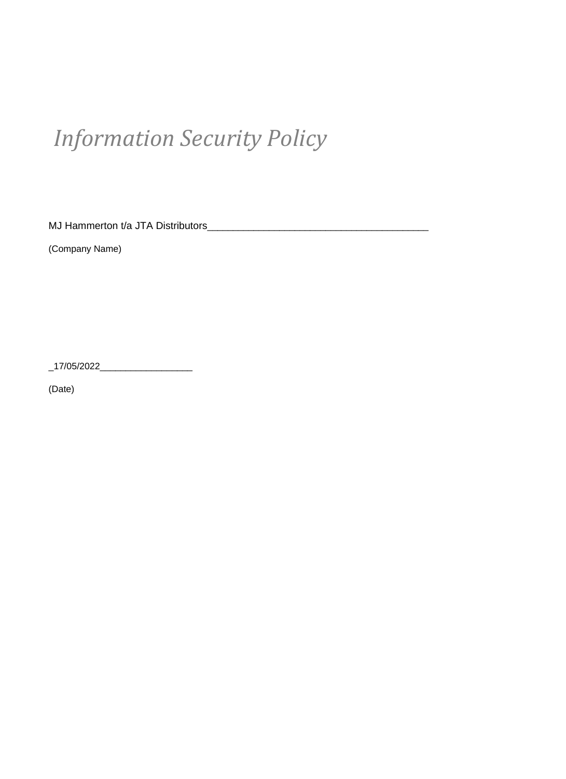# *Information Security Policy*

MJ Hammerton t/a JTA Distributors

(Company Name)

\_17/05/2022\_\_\_\_\_\_\_\_\_\_\_\_\_\_\_\_\_\_

(Date)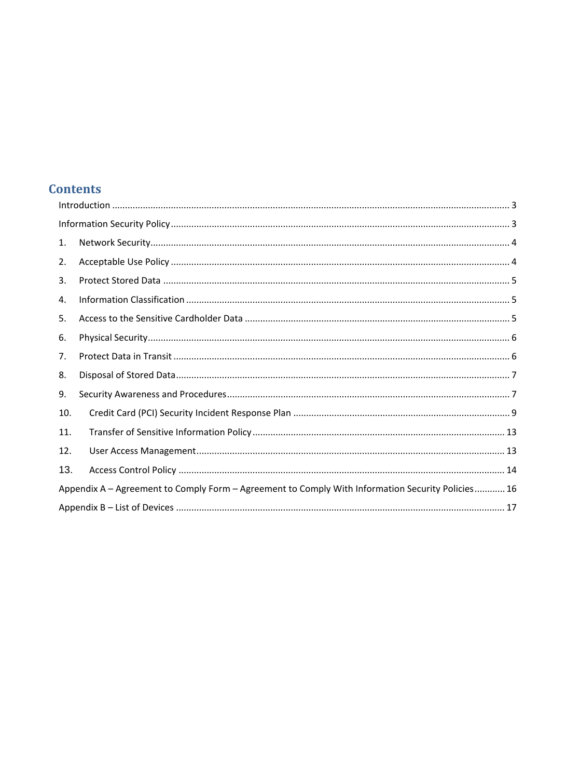## **Contents**

| 1.  |                                                                                                   |
|-----|---------------------------------------------------------------------------------------------------|
| 2.  |                                                                                                   |
| 3.  |                                                                                                   |
| 4.  |                                                                                                   |
| 5.  |                                                                                                   |
| 6.  |                                                                                                   |
| 7.  |                                                                                                   |
| 8.  |                                                                                                   |
| 9.  |                                                                                                   |
| 10. |                                                                                                   |
| 11. |                                                                                                   |
| 12. |                                                                                                   |
| 13. |                                                                                                   |
|     | Appendix A - Agreement to Comply Form - Agreement to Comply With Information Security Policies 16 |
|     |                                                                                                   |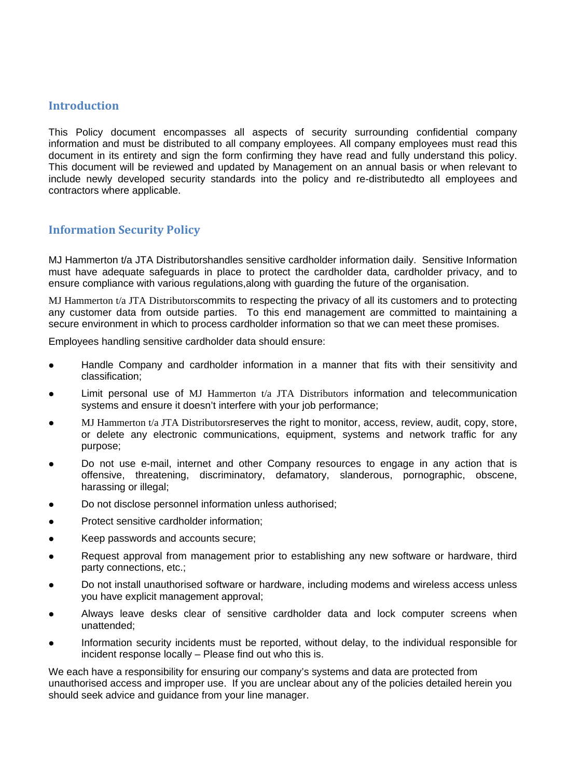#### <span id="page-2-0"></span>**Introduction**

This Policy document encompasses all aspects of security surrounding confidential company information and must be distributed to all company employees. All company employees must read this document in its entirety and sign the form confirming they have read and fully understand this policy. This document will be reviewed and updated by Management on an annual basis or when relevant to include newly developed security standards into the policy and re-distributedto all employees and contractors where applicable.

## <span id="page-2-1"></span>**Information Security Policy**

MJ Hammerton t/a JTA Distributorshandles sensitive cardholder information daily. Sensitive Information must have adequate safeguards in place to protect the cardholder data, cardholder privacy, and to ensure compliance with various regulations,along with guarding the future of the organisation.

MJ Hammerton t/a JTA Distributorscommits to respecting the privacy of all its customers and to protecting any customer data from outside parties. To this end management are committed to maintaining a secure environment in which to process cardholder information so that we can meet these promises.

Employees handling sensitive cardholder data should ensure:

- Handle Company and cardholder information in a manner that fits with their sensitivity and classification;
- Limit personal use of MJ Hammerton t/a JTA Distributors information and telecommunication systems and ensure it doesn't interfere with your job performance;
- MJ Hammerton  $t/a$  JTA Distributors reserves the right to monitor, access, review, audit, copy, store, or delete any electronic communications, equipment, systems and network traffic for any purpose;
- Do not use e-mail, internet and other Company resources to engage in any action that is offensive, threatening, discriminatory, defamatory, slanderous, pornographic, obscene, harassing or illegal;
- Do not disclose personnel information unless authorised;
- Protect sensitive cardholder information;
- Keep passwords and accounts secure;
- Request approval from management prior to establishing any new software or hardware, third party connections, etc.;
- Do not install unauthorised software or hardware, including modems and wireless access unless you have explicit management approval;
- Always leave desks clear of sensitive cardholder data and lock computer screens when unattended;
- Information security incidents must be reported, without delay, to the individual responsible for incident response locally – Please find out who this is.

We each have a responsibility for ensuring our company's systems and data are protected from unauthorised access and improper use. If you are unclear about any of the policies detailed herein you should seek advice and guidance from your line manager.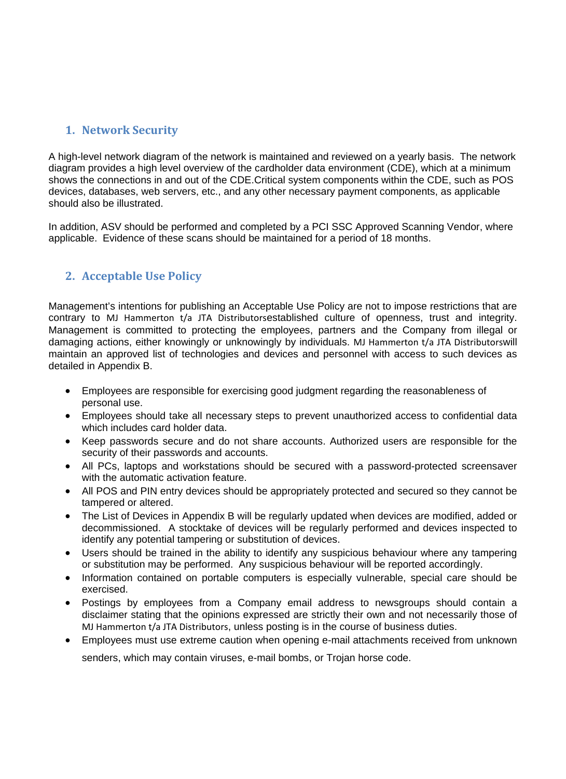## <span id="page-3-0"></span>**1. Network Security**

A high-level network diagram of the network is maintained and reviewed on a yearly basis. The network diagram provides a high level overview of the cardholder data environment (CDE), which at a minimum shows the connections in and out of the CDE.Critical system components within the CDE, such as POS devices, databases, web servers, etc., and any other necessary payment components, as applicable should also be illustrated.

In addition, ASV should be performed and completed by a PCI SSC Approved Scanning Vendor, where applicable. Evidence of these scans should be maintained for a period of 18 months.

## <span id="page-3-1"></span>**2. Acceptable Use Policy**

Management's intentions for publishing an Acceptable Use Policy are not to impose restrictions that are contrary to MJ Hammerton t/a JTA Distributorsestablished culture of openness, trust and integrity. Management is committed to protecting the employees, partners and the Company from illegal or damaging actions, either knowingly or unknowingly by individuals. MJ Hammerton t/a JTA Distributorswill maintain an approved list of technologies and devices and personnel with access to such devices as detailed in Appendix B.

- Employees are responsible for exercising good judgment regarding the reasonableness of personal use.
- Employees should take all necessary steps to prevent unauthorized access to confidential data which includes card holder data.
- Keep passwords secure and do not share accounts. Authorized users are responsible for the security of their passwords and accounts.
- All PCs, laptops and workstations should be secured with a password-protected screensaver with the automatic activation feature.
- All POS and PIN entry devices should be appropriately protected and secured so they cannot be tampered or altered.
- The List of Devices in Appendix B will be regularly updated when devices are modified, added or decommissioned. A stocktake of devices will be regularly performed and devices inspected to identify any potential tampering or substitution of devices.
- Users should be trained in the ability to identify any suspicious behaviour where any tampering or substitution may be performed. Any suspicious behaviour will be reported accordingly.
- Information contained on portable computers is especially vulnerable, special care should be exercised.
- Postings by employees from a Company email address to newsgroups should contain a disclaimer stating that the opinions expressed are strictly their own and not necessarily those of MJ Hammerton t/a JTA Distributors, unless posting is in the course of business duties.
- Employees must use extreme caution when opening e-mail attachments received from unknown

senders, which may contain viruses, e-mail bombs, or Trojan horse code.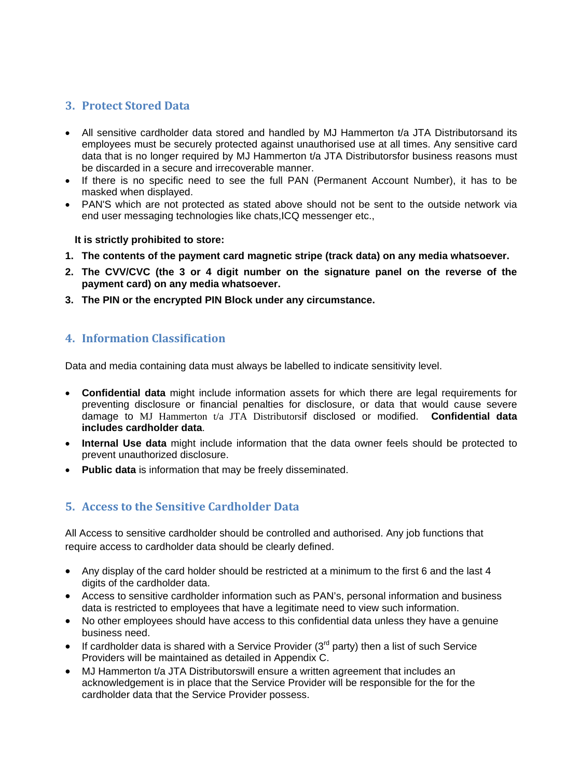## <span id="page-4-0"></span>**3. Protect Stored Data**

- All sensitive cardholder data stored and handled by MJ Hammerton t/a JTA Distributorsand its employees must be securely protected against unauthorised use at all times. Any sensitive card data that is no longer required by MJ Hammerton t/a JTA Distributorsfor business reasons must be discarded in a secure and irrecoverable manner.
- If there is no specific need to see the full PAN (Permanent Account Number), it has to be masked when displayed.
- PAN'S which are not protected as stated above should not be sent to the outside network via end user messaging technologies like chats,ICQ messenger etc.,

**It is strictly prohibited to store:** 

- **1. The contents of the payment card magnetic stripe (track data) on any media whatsoever.**
- **2. The CVV/CVC (the 3 or 4 digit number on the signature panel on the reverse of the payment card) on any media whatsoever.**
- **3. The PIN or the encrypted PIN Block under any circumstance.**

## <span id="page-4-1"></span>**4. Information Classification**

Data and media containing data must always be labelled to indicate sensitivity level.

- **Confidential data** might include information assets for which there are legal requirements for preventing disclosure or financial penalties for disclosure, or data that would cause severe damage to MJ Hammerton t/a JTA Distributorsif disclosed or modified. **Confidential data includes cardholder data**.
- **Internal Use data** might include information that the data owner feels should be protected to prevent unauthorized disclosure.
- **Public data** is information that may be freely disseminated.

## <span id="page-4-2"></span>**5. Access to the Sensitive Cardholder Data**

All Access to sensitive cardholder should be controlled and authorised. Any job functions that require access to cardholder data should be clearly defined.

- Any display of the card holder should be restricted at a minimum to the first 6 and the last 4 digits of the cardholder data.
- Access to sensitive cardholder information such as PAN's, personal information and business data is restricted to employees that have a legitimate need to view such information.
- No other employees should have access to this confidential data unless they have a genuine business need.
- If cardholder data is shared with a Service Provider  $(3<sup>rd</sup>$  party) then a list of such Service Providers will be maintained as detailed in Appendix C.
- MJ Hammerton t/a JTA Distributorswill ensure a written agreement that includes an acknowledgement is in place that the Service Provider will be responsible for the for the cardholder data that the Service Provider possess.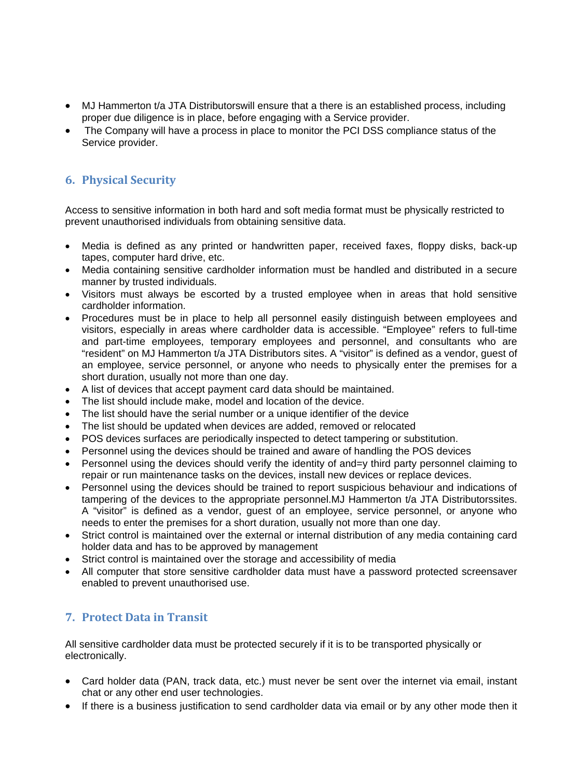- MJ Hammerton t/a JTA Distributorswill ensure that a there is an established process, including proper due diligence is in place, before engaging with a Service provider.
- The Company will have a process in place to monitor the PCI DSS compliance status of the Service provider.

## <span id="page-5-0"></span>**6. Physical Security**

Access to sensitive information in both hard and soft media format must be physically restricted to prevent unauthorised individuals from obtaining sensitive data.

- Media is defined as any printed or handwritten paper, received faxes, floppy disks, back-up tapes, computer hard drive, etc.
- Media containing sensitive cardholder information must be handled and distributed in a secure manner by trusted individuals.
- Visitors must always be escorted by a trusted employee when in areas that hold sensitive cardholder information.
- Procedures must be in place to help all personnel easily distinguish between employees and visitors, especially in areas where cardholder data is accessible. "Employee" refers to full-time and part-time employees, temporary employees and personnel, and consultants who are "resident" on MJ Hammerton t/a JTA Distributors sites. A "visitor" is defined as a vendor, guest of an employee, service personnel, or anyone who needs to physically enter the premises for a short duration, usually not more than one day.
- A list of devices that accept payment card data should be maintained.
- The list should include make, model and location of the device.
- The list should have the serial number or a unique identifier of the device
- The list should be updated when devices are added, removed or relocated
- POS devices surfaces are periodically inspected to detect tampering or substitution.
- Personnel using the devices should be trained and aware of handling the POS devices
- Personnel using the devices should verify the identity of and=y third party personnel claiming to repair or run maintenance tasks on the devices, install new devices or replace devices.
- Personnel using the devices should be trained to report suspicious behaviour and indications of tampering of the devices to the appropriate personnel.MJ Hammerton t/a JTA Distributorssites. A "visitor" is defined as a vendor, guest of an employee, service personnel, or anyone who needs to enter the premises for a short duration, usually not more than one day.
- Strict control is maintained over the external or internal distribution of any media containing card holder data and has to be approved by management
- Strict control is maintained over the storage and accessibility of media
- All computer that store sensitive cardholder data must have a password protected screensaver enabled to prevent unauthorised use.

## <span id="page-5-1"></span>**7. Protect Data in Transit**

All sensitive cardholder data must be protected securely if it is to be transported physically or electronically.

- Card holder data (PAN, track data, etc.) must never be sent over the internet via email, instant chat or any other end user technologies.
- If there is a business justification to send cardholder data via email or by any other mode then it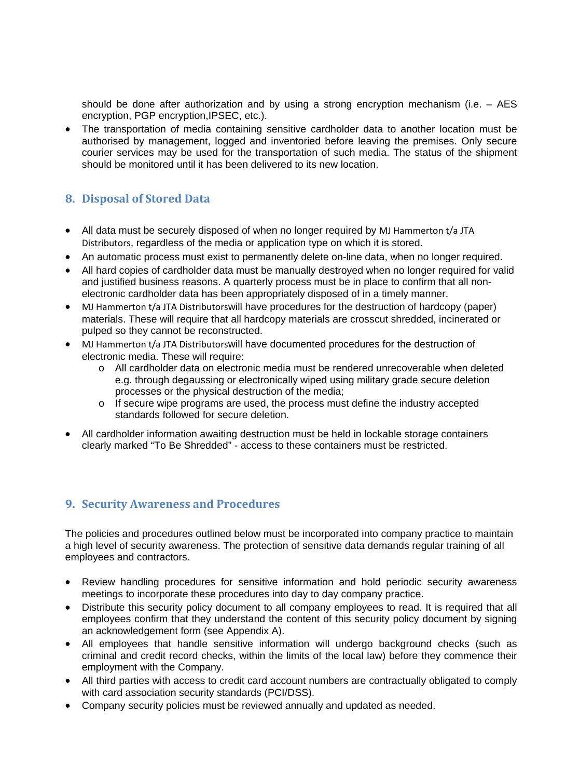should be done after authorization and by using a strong encryption mechanism (i.e. - AES encryption, PGP encryption,IPSEC, etc.).

• The transportation of media containing sensitive cardholder data to another location must be authorised by management, logged and inventoried before leaving the premises. Only secure courier services may be used for the transportation of such media. The status of the shipment should be monitored until it has been delivered to its new location.

## <span id="page-6-0"></span>**8. Disposal of Stored Data**

- All data must be securely disposed of when no longer required by MJ Hammerton t/a JTA Distributors, regardless of the media or application type on which it is stored.
- An automatic process must exist to permanently delete on-line data, when no longer required.
- All hard copies of cardholder data must be manually destroyed when no longer required for valid and justified business reasons. A quarterly process must be in place to confirm that all nonelectronic cardholder data has been appropriately disposed of in a timely manner.
- MJ Hammerton t/a JTA Distributorswill have procedures for the destruction of hardcopy (paper) materials. These will require that all hardcopy materials are crosscut shredded, incinerated or pulped so they cannot be reconstructed.
- MJ Hammerton t/a JTA Distributorswill have documented procedures for the destruction of electronic media. These will require:
	- o All cardholder data on electronic media must be rendered unrecoverable when deleted e.g. through degaussing or electronically wiped using military grade secure deletion processes or the physical destruction of the media;
	- o If secure wipe programs are used, the process must define the industry accepted standards followed for secure deletion.
- All cardholder information awaiting destruction must be held in lockable storage containers clearly marked "To Be Shredded" - access to these containers must be restricted.

## <span id="page-6-1"></span>**9. Security Awareness and Procedures**

The policies and procedures outlined below must be incorporated into company practice to maintain a high level of security awareness. The protection of sensitive data demands regular training of all employees and contractors.

- Review handling procedures for sensitive information and hold periodic security awareness meetings to incorporate these procedures into day to day company practice.
- Distribute this security policy document to all company employees to read. It is required that all employees confirm that they understand the content of this security policy document by signing an acknowledgement form (see Appendix A).
- All employees that handle sensitive information will undergo background checks (such as criminal and credit record checks, within the limits of the local law) before they commence their employment with the Company.
- All third parties with access to credit card account numbers are contractually obligated to comply with card association security standards (PCI/DSS).
- Company security policies must be reviewed annually and updated as needed.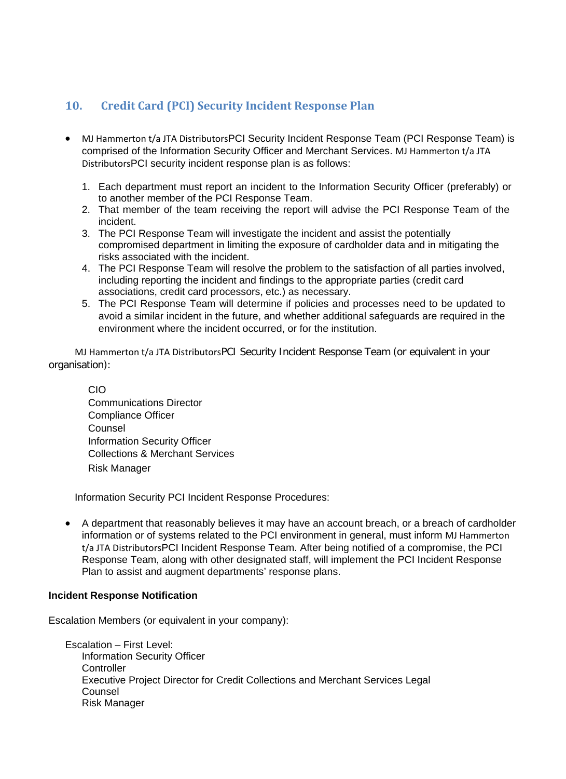## <span id="page-8-0"></span>**10. Credit Card (PCI) Security Incident Response Plan**

- MJ Hammerton t/a JTA DistributorsPCI Security Incident Response Team (PCI Response Team) is comprised of the Information Security Officer and Merchant Services. MJ Hammerton t/a JTA DistributorsPCI security incident response plan is as follows:
	- 1. Each department must report an incident to the Information Security Officer (preferably) or to another member of the PCI Response Team.
	- 2. That member of the team receiving the report will advise the PCI Response Team of the incident.
	- 3. The PCI Response Team will investigate the incident and assist the potentially compromised department in limiting the exposure of cardholder data and in mitigating the risks associated with the incident.
	- 4. The PCI Response Team will resolve the problem to the satisfaction of all parties involved, including reporting the incident and findings to the appropriate parties (credit card associations, credit card processors, etc.) as necessary.
	- 5. The PCI Response Team will determine if policies and processes need to be updated to avoid a similar incident in the future, and whether additional safeguards are required in the environment where the incident occurred, or for the institution.

MJ Hammerton t/a JTA DistributorsPCI Security Incident Response Team (or equivalent in your organisation):

CIO Communications Director Compliance Officer Counsel Information Security Officer Collections & Merchant Services Risk Manager

Information Security PCI Incident Response Procedures:

• A department that reasonably believes it may have an account breach, or a breach of cardholder information or of systems related to the PCI environment in general, must inform MJ Hammerton t/a JTA DistributorsPCI Incident Response Team. After being notified of a compromise, the PCI Response Team, along with other designated staff, will implement the PCI Incident Response Plan to assist and augment departments' response plans.

#### **Incident Response Notification**

Escalation Members (or equivalent in your company):

Escalation – First Level: Information Security Officer **Controller** Executive Project Director for Credit Collections and Merchant Services Legal Counsel Risk Manager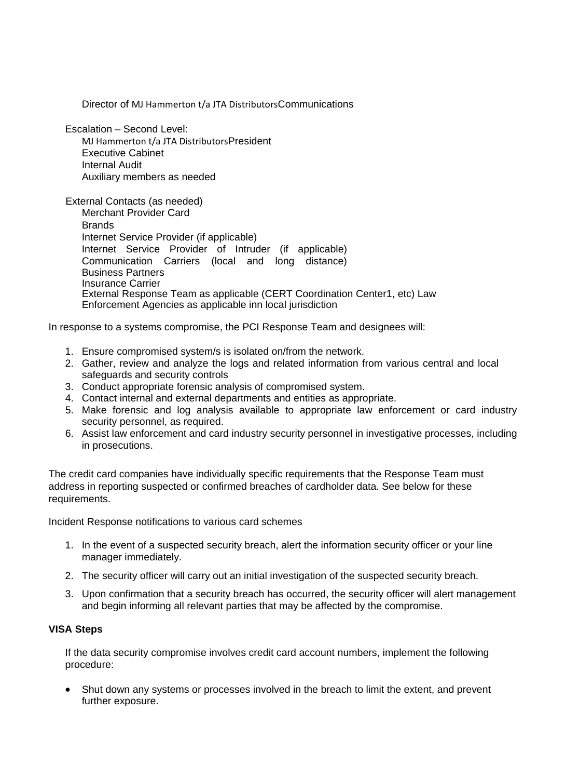Director of MJ Hammerton t/a JTA DistributorsCommunications

Escalation – Second Level:

MJ Hammerton t/a JTA DistributorsPresident Executive Cabinet Internal Audit Auxiliary members as needed

 External Contacts (as needed) Merchant Provider Card Brands Internet Service Provider (if applicable) Internet Service Provider of Intruder (if applicable) Communication Carriers (local and long distance) Business Partners Insurance Carrier External Response Team as applicable (CERT Coordination Center1, etc) Law Enforcement Agencies as applicable inn local jurisdiction

In response to a systems compromise, the PCI Response Team and designees will:

- 1. Ensure compromised system/s is isolated on/from the network.
- 2. Gather, review and analyze the logs and related information from various central and local safeguards and security controls
- 3. Conduct appropriate forensic analysis of compromised system.
- 4. Contact internal and external departments and entities as appropriate.
- 5. Make forensic and log analysis available to appropriate law enforcement or card industry security personnel, as required.
- 6. Assist law enforcement and card industry security personnel in investigative processes, including in prosecutions.

The credit card companies have individually specific requirements that the Response Team must address in reporting suspected or confirmed breaches of cardholder data. See below for these requirements.

Incident Response notifications to various card schemes

- 1. In the event of a suspected security breach, alert the information security officer or your line manager immediately.
- 2. The security officer will carry out an initial investigation of the suspected security breach.
- 3. Upon confirmation that a security breach has occurred, the security officer will alert management and begin informing all relevant parties that may be affected by the compromise.

#### **VISA Steps**

If the data security compromise involves credit card account numbers, implement the following procedure:

• Shut down any systems or processes involved in the breach to limit the extent, and prevent further exposure.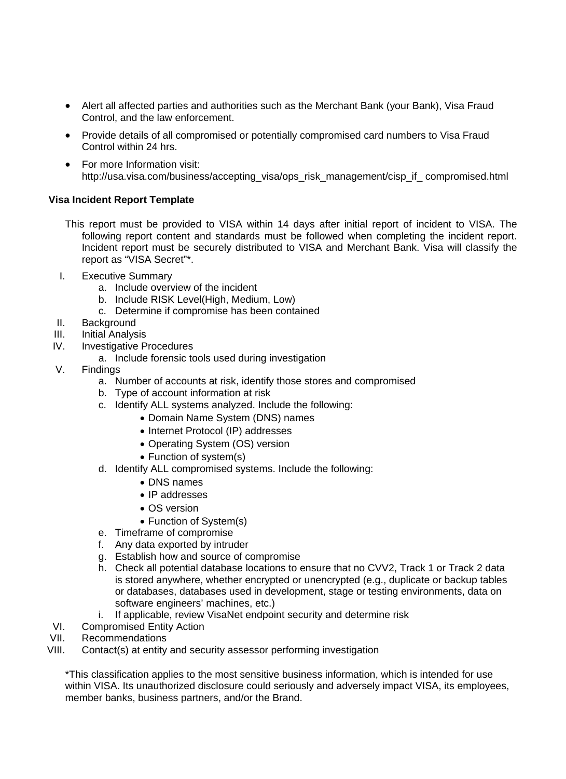- Alert all affected parties and authorities such as the Merchant Bank (your Bank), Visa Fraud Control, and the law enforcement.
- Provide details of all compromised or potentially compromised card numbers to Visa Fraud Control within 24 hrs.
- For more Information visit: http://usa.visa.com/business/accepting\_visa/ops\_risk\_management/cisp\_if\_ compromised.html

#### **Visa Incident Report Template**

- This report must be provided to VISA within 14 days after initial report of incident to VISA. The following report content and standards must be followed when completing the incident report. Incident report must be securely distributed to VISA and Merchant Bank. Visa will classify the report as "VISA Secret"\*.
- I. Executive Summary
	- a. Include overview of the incident
	- b. Include RISK Level(High, Medium, Low)
	- c. Determine if compromise has been contained
- II. Background
- III. Initial Analysis
- IV. Investigative Procedures
	- a. Include forensic tools used during investigation
- V. Findings
	- a. Number of accounts at risk, identify those stores and compromised
	- b. Type of account information at risk
	- c. Identify ALL systems analyzed. Include the following:
		- Domain Name System (DNS) names
		- Internet Protocol (IP) addresses
		- Operating System (OS) version
		- Function of system(s)
	- d. Identify ALL compromised systems. Include the following:
		- DNS names
		- IP addresses
		- OS version
		- Function of System(s)
	- e. Timeframe of compromise
	- f. Any data exported by intruder
	- g. Establish how and source of compromise
	- h. Check all potential database locations to ensure that no CVV2, Track 1 or Track 2 data is stored anywhere, whether encrypted or unencrypted (e.g., duplicate or backup tables or databases, databases used in development, stage or testing environments, data on software engineers' machines, etc.)
	- i. If applicable, review VisaNet endpoint security and determine risk
- VI. Compromised Entity Action
- VII. Recommendations
- VIII. Contact(s) at entity and security assessor performing investigation

\*This classification applies to the most sensitive business information, which is intended for use within VISA. Its unauthorized disclosure could seriously and adversely impact VISA, its employees, member banks, business partners, and/or the Brand.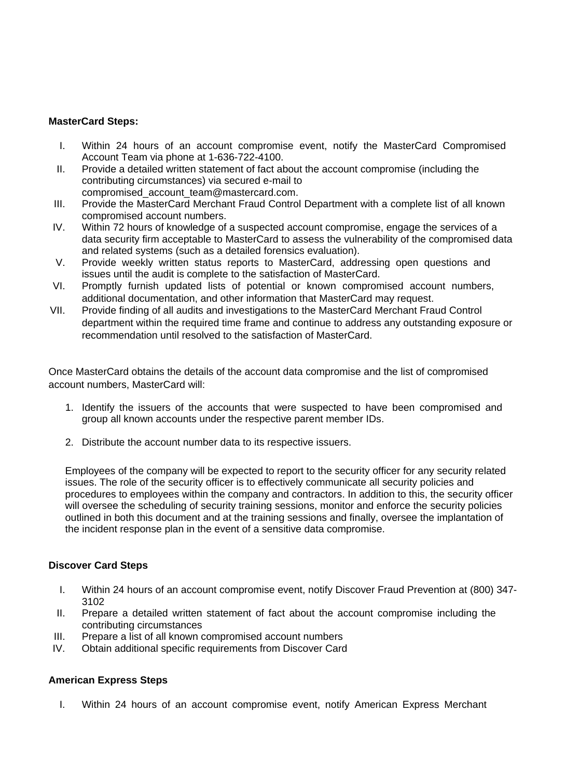#### **MasterCard Steps:**

- I. Within 24 hours of an account compromise event, notify the MasterCard Compromised Account Team via phone at 1-636-722-4100.
- II. Provide a detailed written statement of fact about [the account compromise \(including the](mailto:compromised_account_team@mastercard.com)  contributing circumstances) via secured e-mail to [compromised\\_account\\_team@mastercard.com.](mailto:compromised_account_team@mastercard.com)
- III. Provide the MasterCard Merchant Fraud Control Department with a complete list of all known compromised account numbers.
- IV. Within 72 hours of knowledge of a suspected account compromise, engage the services of a data security firm acceptable to MasterCard to assess the vulnerability of the compromised data and related systems (such as a detailed forensics evaluation).
- V. Provide weekly written status reports to MasterCard, addressing open questions and issues until the audit is complete to the satisfaction of MasterCard.
- VI. Promptly furnish updated lists of potential or known compromised account numbers, additional documentation, and other information that MasterCard may request.
- VII. Provide finding of all audits and investigations to the MasterCard Merchant Fraud Control department within the required time frame and continue to address any outstanding exposure or recommendation until resolved to the satisfaction of MasterCard.

Once MasterCard obtains the details of the account data compromise and the list of compromised account numbers, MasterCard will:

- 1. Identify the issuers of the accounts that were suspected to have been compromised and group all known accounts under the respective parent member IDs.
- 2. Distribute the account number data to its respective issuers.

Employees of the company will be expected to report to the security officer for any security related issues. The role of the security officer is to effectively communicate all security policies and procedures to employees within the company and contractors. In addition to this, the security officer will oversee the scheduling of security training sessions, monitor and enforce the security policies outlined in both this document and at the training sessions and finally, oversee the implantation of the incident response plan in the event of a sensitive data compromise.

#### **Discover Card Steps**

- I. Within 24 hours of an account compromise event, notify Discover Fraud Prevention at (800) 347- 3102
- II. Prepare a detailed written statement of fact about the account compromise including the contributing circumstances
- III. Prepare a list of all known compromised account numbers
- IV. Obtain additional specific requirements from Discover Card

#### **American Express Steps**

I. Within 24 hours of an account compromise event, notify American Express Merchant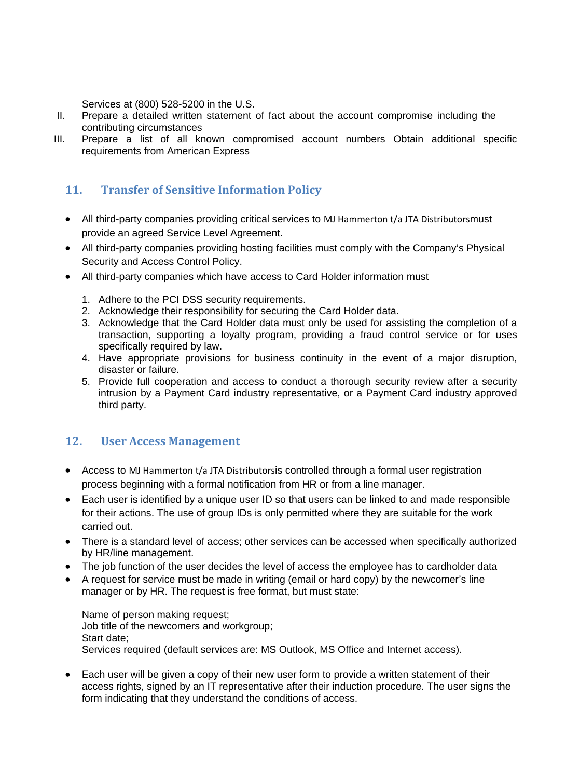Services at (800) 528-5200 in the U.S.

- II. Prepare a detailed written statement of fact about the account compromise including the contributing circumstances
- III. Prepare a list of all known compromised account numbers Obtain additional specific requirements from American Express

## <span id="page-12-0"></span>**11. Transfer of Sensitive Information Policy**

- All third-party companies providing critical services to MJ Hammerton t/a JTA Distributorsmust provide an agreed Service Level Agreement.
- All third-party companies providing hosting facilities must comply with the Company's Physical Security and Access Control Policy.
- All third-party companies which have access to Card Holder information must
	- 1. Adhere to the PCI DSS security requirements.
	- 2. Acknowledge their responsibility for securing the Card Holder data.
	- 3. Acknowledge that the Card Holder data must only be used for assisting the completion of a transaction, supporting a loyalty program, providing a fraud control service or for uses specifically required by law.
	- 4. Have appropriate provisions for business continuity in the event of a major disruption, disaster or failure.
	- 5. Provide full cooperation and access to conduct a thorough security review after a security intrusion by a Payment Card industry representative, or a Payment Card industry approved third party.

#### <span id="page-12-1"></span>**12. User Access Management**

- Access to MJ Hammerton t/a JTA Distributorsis controlled through a formal user registration process beginning with a formal notification from HR or from a line manager.
- Each user is identified by a unique user ID so that users can be linked to and made responsible for their actions. The use of group IDs is only permitted where they are suitable for the work carried out.
- There is a standard level of access; other services can be accessed when specifically authorized by HR/line management.
- The job function of the user decides the level of access the employee has to cardholder data
- A request for service must be made in writing (email or hard copy) by the newcomer's line manager or by HR. The request is free format, but must state:

Name of person making request; Job title of the newcomers and workgroup; Start date; Services required (default services are: MS Outlook, MS Office and Internet access).

• Each user will be given a copy of their new user form to provide a written statement of their access rights, signed by an IT representative after their induction procedure. The user signs the form indicating that they understand the conditions of access.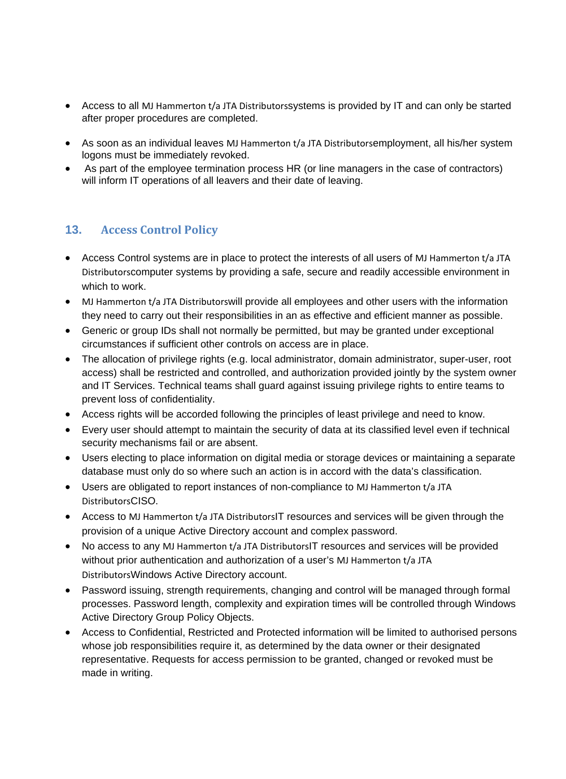- Access to all MJ Hammerton t/a JTA Distributorssystems is provided by IT and can only be started after proper procedures are completed.
- As soon as an individual leaves MJ Hammerton t/a JTA Distributorsemployment, all his/her system logons must be immediately revoked.
- As part of the employee termination process HR (or line managers in the case of contractors) will inform IT operations of all leavers and their date of leaving.

## <span id="page-13-0"></span>**13. Access Control Policy**

- Access Control systems are in place to protect the interests of all users of MJ Hammerton t/a JTA Distributorscomputer systems by providing a safe, secure and readily accessible environment in which to work.
- MJ Hammerton t/a JTA Distributorswill provide all employees and other users with the information they need to carry out their responsibilities in an as effective and efficient manner as possible.
- Generic or group IDs shall not normally be permitted, but may be granted under exceptional circumstances if sufficient other controls on access are in place.
- The allocation of privilege rights (e.g. local administrator, domain administrator, super-user, root access) shall be restricted and controlled, and authorization provided jointly by the system owner and IT Services. Technical teams shall guard against issuing privilege rights to entire teams to prevent loss of confidentiality.
- Access rights will be accorded following the principles of least privilege and need to know.
- Every user should attempt to maintain the security of data at its classified level even if technical security mechanisms fail or are absent.
- Users electing to place information on digital media or storage devices or maintaining a separate database must only do so where such an action is in accord with the data's classification.
- Users are obligated to report instances of non-compliance to MJ Hammerton t/a JTA DistributorsCISO.
- Access to MJ Hammerton t/a JTA DistributorsIT resources and services will be given through the provision of a unique Active Directory account and complex password.
- No access to any MJ Hammerton t/a JTA DistributorsIT resources and services will be provided without prior authentication and authorization of a user's MJ Hammerton t/a JTA DistributorsWindows Active Directory account.
- Password issuing, strength requirements, changing and control will be managed through formal processes. Password length, complexity and expiration times will be controlled through Windows Active Directory Group Policy Objects.
- Access to Confidential, Restricted and Protected information will be limited to authorised persons whose job responsibilities require it, as determined by the data owner or their designated representative. Requests for access permission to be granted, changed or revoked must be made in writing.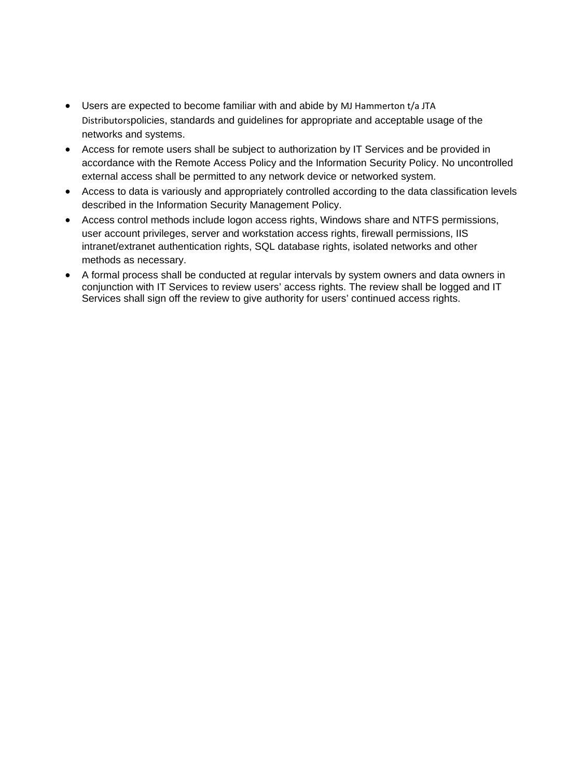- Users are expected to become familiar with and abide by MJ Hammerton t/a JTA Distributorspolicies, standards and guidelines for appropriate and acceptable usage of the networks and systems.
- Access for remote users shall be subject to authorization by IT Services and be provided in accordance with the Remote Access Policy and the Information Security Policy. No uncontrolled external access shall be permitted to any network device or networked system.
- Access to data is variously and appropriately controlled according to the data classification levels described in the Information Security Management Policy.
- Access control methods include logon access rights, Windows share and NTFS permissions, user account privileges, server and workstation access rights, firewall permissions, IIS intranet/extranet authentication rights, SQL database rights, isolated networks and other methods as necessary.
- A formal process shall be conducted at regular intervals by system owners and data owners in conjunction with IT Services to review users' access rights. The review shall be logged and IT Services shall sign off the review to give authority for users' continued access rights.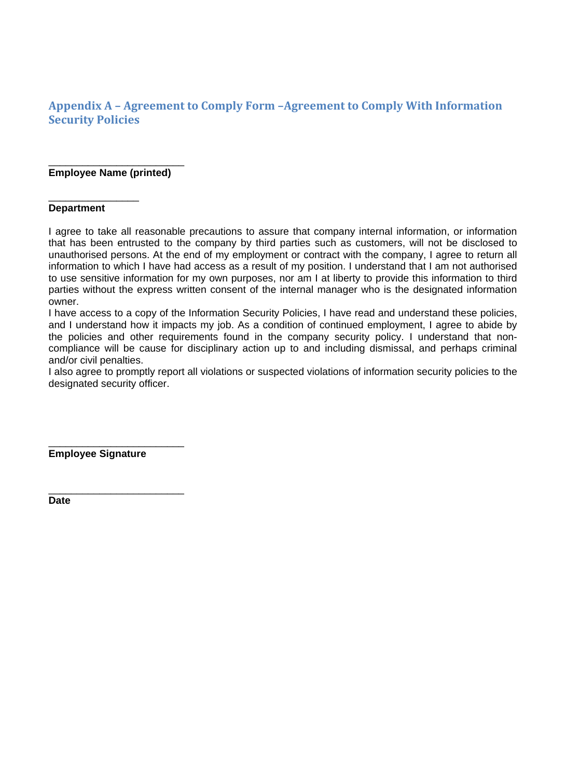## <span id="page-15-0"></span>**Appendix A – Agreement to Comply Form –Agreement to Comply With Information Security Policies**

#### \_\_\_\_\_\_\_\_\_\_\_\_\_\_\_\_\_\_\_\_\_\_\_\_ **Employee Name (printed)**

#### **Department**

\_\_\_\_\_\_\_\_\_\_\_\_\_\_\_\_

I agree to take all reasonable precautions to assure that company internal information, or information that has been entrusted to the company by third parties such as customers, will not be disclosed to unauthorised persons. At the end of my employment or contract with the company, I agree to return all information to which I have had access as a result of my position. I understand that I am not authorised to use sensitive information for my own purposes, nor am I at liberty to provide this information to third parties without the express written consent of the internal manager who is the designated information owner.

I have access to a copy of the Information Security Policies, I have read and understand these policies, and I understand how it impacts my job. As a condition of continued employment, I agree to abide by the policies and other requirements found in the company security policy. I understand that noncompliance will be cause for disciplinary action up to and including dismissal, and perhaps criminal and/or civil penalties.

I also agree to promptly report all violations or suspected violations of information security policies to the designated security officer.

**Employee Signature** 

\_\_\_\_\_\_\_\_\_\_\_\_\_\_\_\_\_\_\_\_\_\_\_\_

\_\_\_\_\_\_\_\_\_\_\_\_\_\_\_\_\_\_\_\_\_\_\_\_

**Date**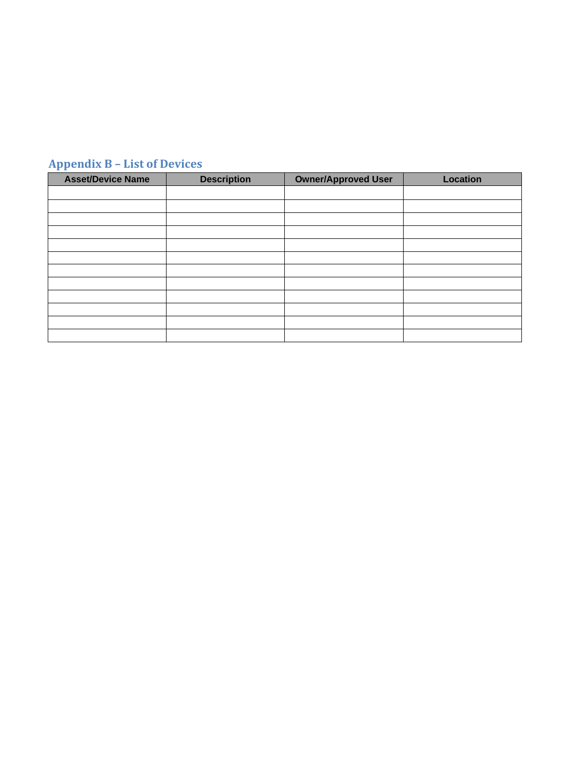### <span id="page-16-0"></span>**Appendix B – List of Devices**

| <b>Asset/Device Name</b> | <b>Description</b> | <b>Owner/Approved User</b> | <b>Location</b> |
|--------------------------|--------------------|----------------------------|-----------------|
|                          |                    |                            |                 |
|                          |                    |                            |                 |
|                          |                    |                            |                 |
|                          |                    |                            |                 |
|                          |                    |                            |                 |
|                          |                    |                            |                 |
|                          |                    |                            |                 |
|                          |                    |                            |                 |
|                          |                    |                            |                 |
|                          |                    |                            |                 |
|                          |                    |                            |                 |
|                          |                    |                            |                 |